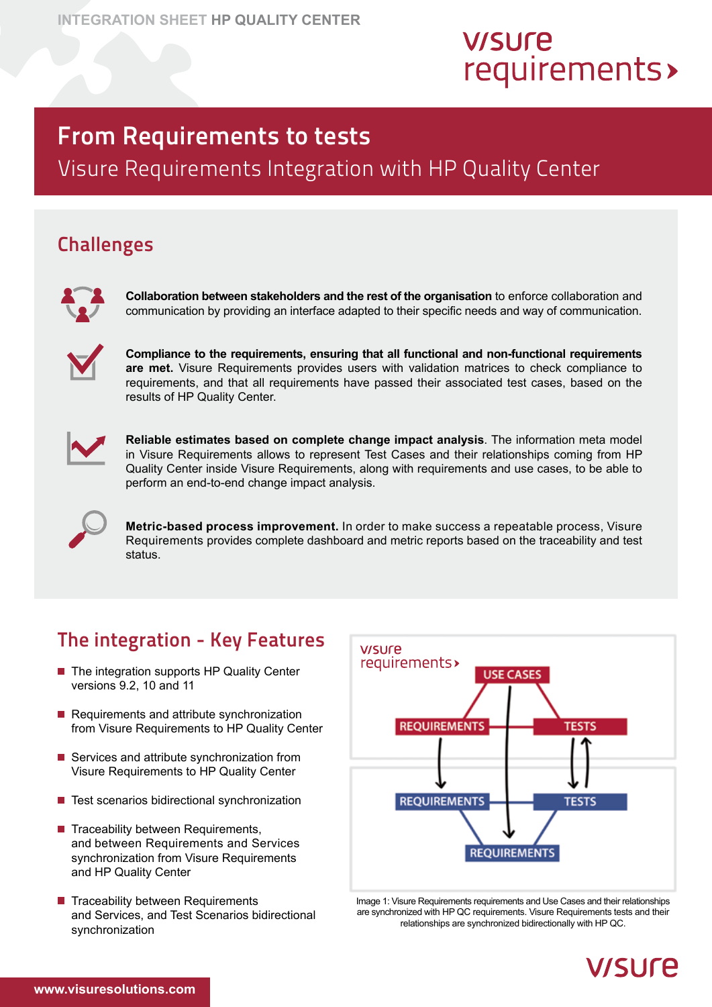# **V/SUre** requirements>

# From Requirements to tests

Visure Requirements Integration with HP Quality Center

#### **Challenges**



**Collaboration between stakeholders and the rest of the organisation** to enforce collaboration and communication by providing an interface adapted to their specific needs and way of communication.



**Compliance to the requirements, ensuring that all functional and non-functional requirements are met.** Visure Requirements provides users with validation matrices to check compliance to requirements, and that all requirements have passed their associated test cases, based on the results of HP Quality Center.



**Reliable estimates based on complete change impact analysis**. The information meta model in Visure Requirements allows to represent Test Cases and their relationships coming from HP Quality Center inside Visure Requirements, along with requirements and use cases, to be able to perform an end-to-end change impact analysis.



**Metric-based process improvement.** In order to make success a repeatable process, Visure Requirements provides complete dashboard and metric reports based on the traceability and test status.

## The integration - Key Features

- The integration supports HP Quality Center versions 9.2, 10 and 11
- $\blacksquare$  Requirements and attribute synchronization from Visure Requirements to HP Quality Center
- Services and attribute synchronization from Visure Requirements to HP Quality Center
- $\blacksquare$  Test scenarios bidirectional synchronization
- $\blacksquare$  Traceability between Requirements, and between Requirements and Services synchronization from Visure Requirements and HP Quality Center
- $\blacksquare$  Traceability between Requirements and Services, and Test Scenarios bidirectional synchronization



Image 1: Visure Requirements requirements and Use Cases and their relationships are synchronized with HP QC requirements. Visure Requirements tests and their relationships are synchronized bidirectionally with HP QC.